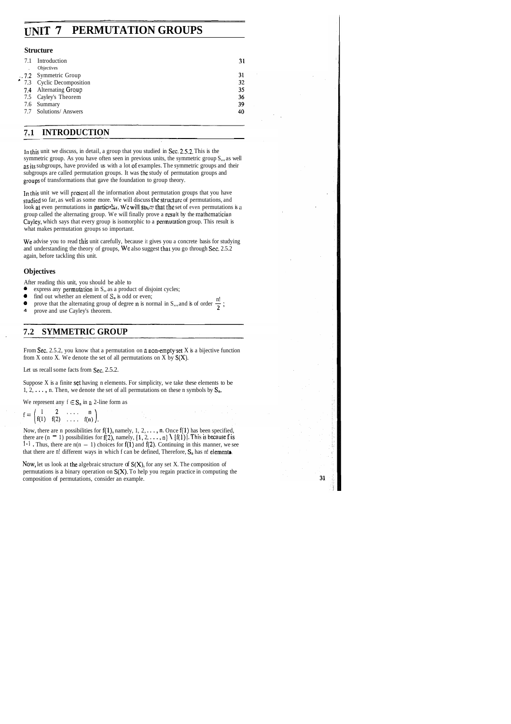# **UNIT 7 PERMUTATION GROUPS**

### **Structure**

| 7.1 | Introduction<br>Objectives | 31 |
|-----|----------------------------|----|
|     |                            |    |
|     | 7.2 Symmetric Group        | 31 |
|     | 7.3 Cyclic Decomposition   | 32 |
|     | 7.4 Alternating Group      | 35 |
|     | 7.5 Cayley's Theorem       | 36 |
|     | 7.6 Summary                | 39 |
|     | 7.7 Solutions/ Answers     | 40 |
|     |                            |    |

# **7.1 INTRODUCTION**

In this unit we discuss, in detail, a group that you studied in Sec. 2.5.2. This is the symmetric group. As you have often seen in previous units, the symmetric group S,,, as well as its subgroups, have provided us with a lot of examples. The symmetric groups and their subgroups are called permutation groups. It was the study of permutation groups and groups of transformations that gave the foundation to group theory.

In this unit we will prescnt all the information about permutation groups that you have studied so far, as well as some more. We will discuss the structure of permutations, and look at even permutations in particular. We will snow that the set of even permutations is a group called the alternating group. We will finally prove a result by the mathematician Cayley, which says that every group is isomorphic to a permutation group. This result is what makes permutation groups so important.

We advise you to read this unit carefully, because it gives you a concrete basis for studying and understanding the theory of groups, We also suggest that you go through Sec. 2.5.2 again, before tackling this unit.

Now, let us look at the algebraic structure of  $S(X)$ , for any set X. The composition of permutations is a binary operation on  $S(X)$ . To help you regain practice in computing the composition of permutations, consider an example.

31

## **Objectives**

After reading this unit, you should be able to

- express any permutation in S<sub>1</sub>, as a product of disjoint cycles;<br>• find out whether an element of S<sub>1</sub> is odd or even:
- **0** find out whether an element of  $S_n$  is odd or even;<br> $\bullet$  never that the elementing even of decays n is negated in S<sub>1</sub> and in forming n!
- **9** express any permutation in S,, as a product of disjoint cycles;<br> **9** find out whether an element of S<sub>n</sub> is odd or even;<br> **9** prove that the alternating group of degree n is normal in S,,, and is of order  $\frac{n!}{2}$ ;<br>
- 

# **7.2 SYMMETRIC GROUP**

From Sec. 2.5.2, you know that a permutation on a non-empty set  $X$  is a bijective function from X onto X. We denote the set of all permutations on X by  $S(X)$ .

Let us recall some facts from Sec. 2.5.2.

Suppose  $X$  is a finite set having n elements. For simplicity, we take these elements to be 1, 2,  $\dots$ , n. Then, we denote the set of all permutations on these n symbols by  $S_n$ .

We represent any  $f \in S_n$  in a 2-line form as

$$
f = \begin{pmatrix} 1 & 2 & \dots & n \\ f(1) & f(2) & \dots & f(n) \end{pmatrix}.
$$

Now, there are n possibilities for  $f(1)$ , namely, 1, 2, ..., n. Once  $f(1)$  has been specified, Now, there are n possibilities for f(1), namely, 1, 2, . . . , n. Once f(1) has been specified, there are  $(n - 1)$  possibilities for f(2), namely,  $\{1, 2, ..., n\} \setminus \{f(1)\}$ . This is because f is there are  $(n - 1)$  possibilities for  $f(2)$ , namely,  $\{1, 2, ..., n\} \setminus \{f(1)\}\)$ . This is because f is  $1^{-1}$ . Thus, there are  $n(n - 1)$  choices for  $f(1)$  and  $f(2)$ . Continuing in this manner, we see that there are n! different ways in which f can be defined, Therefore,  $S_n$  has n! elements.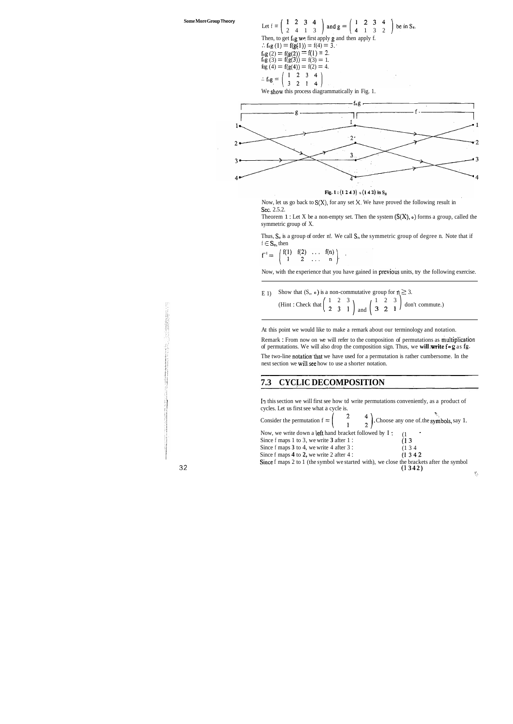**Some More Group Theory** 

Let  $f = \begin{pmatrix} 1 & 2 & 3 & 4 \\ 2 & 4 & 1 & 3 \end{pmatrix}$  and  $g = \begin{pmatrix} 1 & 2 & 3 & 4 \\ 4 & 1 & 3 & 2 \end{pmatrix}$  be in S<sub>4</sub>. Then, to get fog we first apply g and then apply f. .:  $f \circ g(1) = f(g(1)) = f(4) = 3.$  $f_{\text{o}}g(2) = f(g(2)) = f(1) = 2.$  $f_{0}g(3) = f(g(3)) = f(3) = 1.$ fog (4) = f(g(4)) = f(2) = 4.<br>  $\therefore$  f<sub>og =</sub>  $\begin{pmatrix} 1 & 2 & 3 & 4 \\ 3 & 2 & 1 & 4 \end{pmatrix}$  $\therefore$  fog =

Theorem 1 : Let X be a non-empty set. Then the system  $(S(X), o)$  forms a group, called the symmetric group of X.

Thus,  $S_n$  is a group of order n!. We call  $S_n$  the symmetric group of degree n. Note that if  $f \in S_n$ , then

 $\left(\begin{array}{cccc} f(1) & f(2) & \ldots & f(n) \\ 1 & 2 & \ldots & n \end{array}\right).$  $\mathbf{f}^{-1}$  =

Now, with the experience that you have gained in previous units, try the following exercise.

E 1) Show that  $(S_n \circ)$  is a non-commutative group for  $n \ge 3$ .<br>(Hint: Check that  $\begin{pmatrix} 1 & 2 & 3 \\ 2 & 3 & 1 \end{pmatrix}$  and  $\begin{pmatrix} 1 & 2 & 3 \\ 3 & 2 & 1 \end{pmatrix}$  don (Hint : Check that  $\begin{pmatrix} 1 & 2 & 3 \\ 2 & 3 & 1 \end{pmatrix}$  and  $\begin{pmatrix} 1 & 2 & 3 \\ 3 & 2 & 1 \end{pmatrix}$  don't commute.)

We show this process diagrammatically in Fig. 1.



Fig. 1:  $(1\ 2\ 4\ 3)$  o  $(1\ 4\ 2)$  in S<sub>4</sub>

Now, let us go back to **S(X),** for any set **k.** We have proved the following result in Sec. 2.5.2.

The two-line notation that we have used for a permutation is rather cumbersome. In the next section we will.see how to use a shorter notation.

In this section we will first see how td write permutations conveniently, as a product of cycles. Let us first see what a cycle is.

At this point we would like to make a remark about our terminology and notation.

Consider the permutation  $f = \begin{pmatrix} 2 & 4 \\ 1 & 2 \end{pmatrix}$ . Choose any one of the symbols, say 1. Now, we write down a left hand bracket followed by I : (1) Since f maps 1 to 3, we write 3 after 1 : (1) 3 Since f maps 1 to 3, we write **3** after 1 : (1 3<br>Since f maps 3 to 4, we write 4 after 3 : (1 3 4) Since f maps 3 to 4, we write 4 after 3 : Since f maps **4** to **2**, we write 2 after 4 : (1 3 4 2) Since f maps 2 to 1 (the symbol we started with), we close the brackets after the symbol (1 **342)** 

Remark : From now on we will refer to the composition of permutations as multiplication of permutations. We will also drop the composition sign. Thus, we **will** ,write **f g** as **fg.** 

# **7.3 CYCLIC DECOMPOSITION**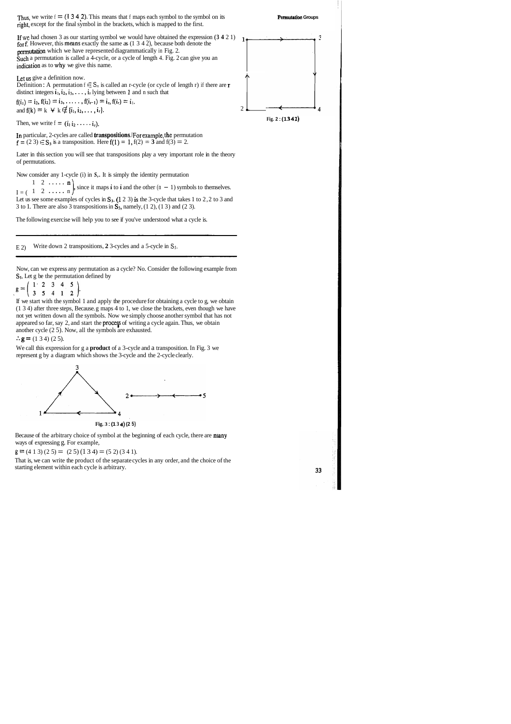

### **Permutation Groups**

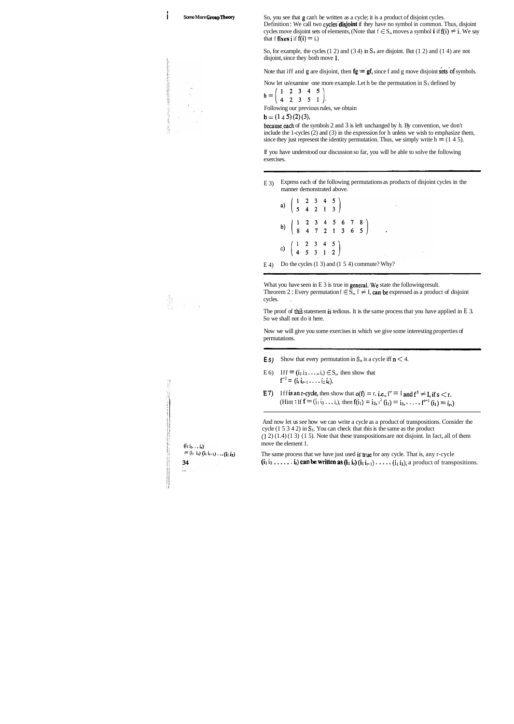I

![](_page_3_Figure_22.jpeg)

![](_page_3_Figure_23.jpeg)

![](_page_3_Figure_24.jpeg)

![](_page_3_Figure_1.jpeg)

So, for example, the cycles (1 2) and (3 4) in **S4** are disjoint. But (1 2) and (1 4) are not disjoint, since they both move 1.

Note that iff and  $g$  are disjoint, then  $fg = gf$ , since f and g move disjoint sets of symbols.

Now let us'examine one more example. Let h be the permutation in **Ss** defined by

$$
h = \left(\begin{array}{cccc} 1 & 2 & 3 & 4 & 5 \\ 4 & 2 & 3 & 5 & 1 \end{array}\right).
$$

Following our previous rules, we obtain

# $h = (1 4 5) (2) (3),$

because each of the symbols 2 and 3 is left unchanged by h. By convention, we don't include the 1-cycles (2) and (3) in the expression for h unless we wish to emphasize them, since they just represent the identity permutation. Thus, we simply write  $h = (1 4 5)$ .

What you have seen in  $E_1$  3 is true in general. We state the following-result. Theorem 2 : Every permutation  $f \in S$ ,  $f \neq I$ , can be expressed as a product of disjoint cycles. .

The proof of this statement is tedious. It is the same process that you have applied in  $E$  3. So we shall not do it here.

If you have understood our discussion so far, you will be able to solve the following exercises.

The same process that we have just used is'true for any cycle. That is, any r-cycle  $(i_1 i_2 \ldots, i_r)$  can be written as  $(i_1 i_r)$   $(i_1 i_{r-1}) \ldots (i_1 i_2)$ , a product of transpositions.

E 3) Express each of the following permutations as products of disjoint cycles in the manner demonstrated above.

a)  $\begin{pmatrix} 1 & 2 & 3 & 4 & 5 \\ 5 & 4 & 2 & 1 & 3 \end{pmatrix}$ b)  $\begin{pmatrix} 1 & 2 & 3 & 4 & 5 & 6 & 7 & 8 \\ 8 & 4 & 7 & 2 & 1 & 3 & 6 & 5 \end{pmatrix}$ c)  $\begin{pmatrix} 1 & 2 & 3 & 4 & 5 \\ 4 & 5 & 3 & 1 & 2 \end{pmatrix}$ 

E 4) Do the cycles  $(1\ 3)$  and  $(1\ 5\ 4)$  commute? Why?

Now we will give you some exercises in which we give some interesting properties of permutations.

- **E5**) Show that every permutation in  $S_n$  is a cycle iff  $n \leq 4$ .
- E 6) If  $f = (i_1 i_2 \ldots i_n) \in S_n$ , then show that  $f^{-1} = (i_r i_{r-1} \ldots i_2 i_l)$ .
- **E**7) If f is an r-cycle, then show that  $o(f) = r$ , i.e.,  $f' = I$  and  $f' \neq I$ , if  $s < r$ . (Hint : If  $f = (i_1 i_2 ... i_n)$ , then  $f(i_1) = i_2, i^2 (i_1) = i_3, ..., f^{r-1} (i_1) = i_r$ .)

And now let us see how we can write a cycle as a product of transpositions. Consider the cycle (1 5 3 4 2) in **Ss.** You can check that this is the same as the product **(1** 2) (1.4) (1 3) (1 5). Note that these transpositions are not disjoint. In fact, all of them move the element 1.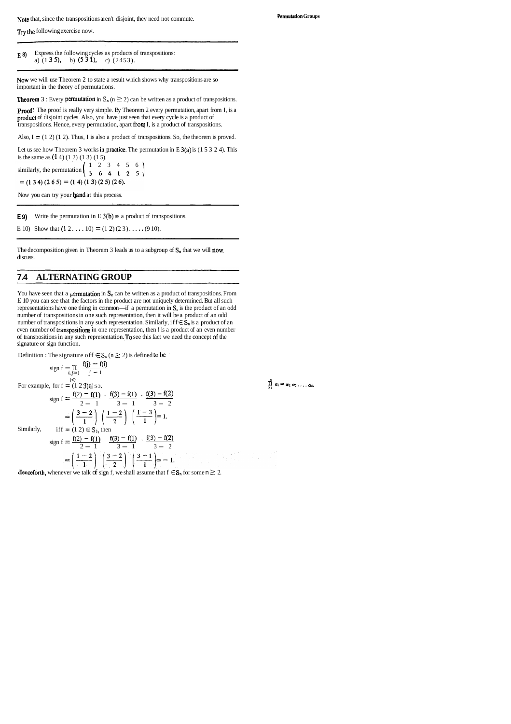**E 8)** Express the following cycles as products of transpositions: a)  $(1\ 3\ 5)$ , b)  $(5\ 3\ 1)$ , c)  $(2453)$ .

Note that, since the transpositions aren't disjoint, they need not commute. **Permutation Groups** 

Try the following exercise now.

NOW we will use Theorem 2 to state a result which shows why transpositions are so important in the theory of permutations.

**Theorem 3 :** Every permutation in  $S_n$  ( $n \geq 2$ ) can be written as a product of transpositions.

**Proof**: The proof is really very simple. By Theorem 2 every permutation, apart from I, is a product of disjoint cycles. Also, you have just seen that every cycle is a product of transpositions. Hence, every permutation, apart froq I, is a product of transpositions.

Also,  $I = (1 2) (1 2)$ . Thus, I is also a product of transpositions. So, the theorem is proved.

Let us see how Theorem 3 works in practice. The permutation in E  $3(a)$  is (1 5 3 2 4). This is the same as (1 4) (1 2) (1 3) (1 5).

similarly, the permutation  $\begin{pmatrix} 1 & 2 & 3 & 4 & 5 & 6 \\ 3 & 6 & 4 & 1 & 2 & 5 \end{pmatrix}$  $=$  (1 3 4) (2 6 5) = (1 4) (1 3) (2 5) (2 6).

Now you can try your hand at this process.

**E 9)** Write the permutation in E 3(b) as a product of transpositions.

E 10) Show that  $(1 \ 2 \ldots \ 10) = (1 \ 2) (2 \ 3) \ldots (9 \ 10)$ .

The decomposition given in Theorem 3 leads us to a subgroup of  $S_n$  that we will now. discuss.

You have seen that a permutation in  $\dot{S}_n$  can be written as a product of transpositions. From E 10 you can see that the factors in the product are not uniquely determined. But all such representations have one thing in common—if a permutation in  $S_n$  is the product of an odd number of transpositions in one such representation, then it will be a product of an odd number of transpositions in any such representation. Similarly, if  $f \in S_n$  is a product of an even number of transpositions in one representation, then f is a product of an even number of transpositions in any such representation. To see this fact we need the concept of the signature or sign function.

Definition : The signature of  $f \in S_n$  ( $n \ge 2$ ) is defined to be '

# **7.4 ALTERNATING GROUP**

$$
\begin{aligned}\n\text{sign } f &= \prod_{i,j=1}^{r} \frac{f(j) - f(i)}{j - i} \\
\text{For example, for } f &= (1 \ 2 \ 3) \in S \text{ s}, \\
\text{sign } f &= \frac{f(2) - f(1)}{2 - 1} \cdot \frac{f(3) - f(1)}{3 - 1} \cdot \frac{f(3) - f(2)}{3 - 2} \\
&= \left(\frac{3 - 2}{1}\right) \left(\frac{1 - 2}{2}\right) \left(\frac{1 - 3}{1}\right) = 1. \\
\text{Similarly,} \quad \text{iff } f &= (1 \ 2) \in S_3 \text{, then} \\
\text{sign } f &= \frac{f(2) - f(1)}{2 - 1} \cdot \frac{f(3) - f(1)}{3 - 1} \cdot \frac{f(3) - f(2)}{3 - 2} \\
&= \left(\frac{1 - 2}{1}\right) \left(\frac{3 - 2}{2}\right) \left(\frac{3 - 1}{1}\right) = -1.\n\end{aligned}
$$

**denceforth,** whenever we talk of sign f, we shall assume that  $f \in S_n$  for some  $n \geq 2$ .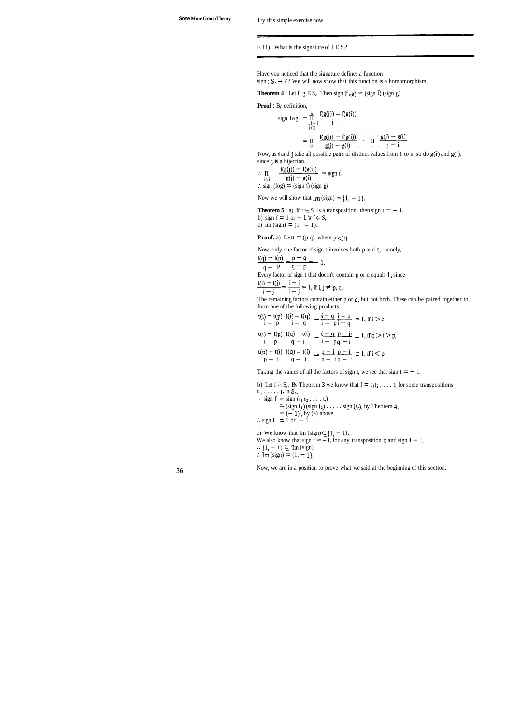Have you noticed that the signature defines a function sign  $: S_n \rightarrow Z$ ? We will now show that this function is a homomorphism.

**Theorem 4 :** Let f, g E S,. Then sign (f  $\sigma$ g) = (sign f) (sign g).

### E 11) What is the signature of I E S,?

**Proof** : By definition,

sign fog 
$$
=\prod_{i,j=1}^{n} \frac{f(g(j)) - f(g(i))}{j-i}
$$
  
\n $=\prod_{i,j} \frac{f(g(j)) - f(g(i))}{g(j) - g(i)}$  .  $\prod_{i,j} \frac{g(j) - g(i)}{j-i}$ 

Now, as i and j take all possible pairs of distinct values from 1 to n, so do  $g(i)$  and  $g(j)$ ,

since g is a bijection.<br>  $\frac{f(g(j)) - f(g(i))}{f(g(j))} = \text{sign } f.$  $\therefore$   $\; \Pi$  $\therefore$  i(i)  $g(j) - g(i)$ <br>  $\therefore$  sign (fog) = (sign f) (sign g).

Now we will show that  $\text{Im}(sign) = \{1, -1\}.$ 

**Theorem 5 :** a) If  $t \in S$ , is a transposition, then sign  $t = -1$ . b) sign  $f = 1$  or  $-1 \forall f \in S$ ,. c) Im (sign) =  $(1, -1)$ .

**Proof:** a) Lett  $=$  (p q), where  $p < q$ .

Now, only one factor of sign t involves both p and q, namely,

$$
\frac{t(q) - t(p)}{q - p} = \frac{p - q}{q - p}
$$
1.  
Every factor of sign t that doesn't contain p or q equals 1, since

 $\frac{t(i) - t(j)}{i - j} = \frac{i - j}{i - j} = 1$ , if i, j  $\neq$  p, q.

The remaining factors contain either p or q. but not both. These can be paired together to

form one of the following products.  
\n
$$
\frac{t(i) - t(p) \ t(i) - t(q)}{i - p} - \frac{i - q}{i - p} = 1, \text{ if } i > q,
$$
\n
$$
\frac{t(i) - t(p) \ t(q) - t(i)}{i - p} - \frac{i - q}{i - p} = 1, \text{ if } q > i > p,
$$
\n
$$
\frac{t(p) - t(i) \ t(q) - t(i)}{i - p} - \frac{q - i}{p - i} = 1, \text{ if } i < p.
$$

 $p - 1$   $q - 1$   $p - 1q - 1$ <br>Taking the values of all the factors of sign t, we see that sign t = - 1.

b) Let  $f \in S$ ,. By Theorem 3 we know that  $f = t_1t_2 \ldots t_r$  for some transpositions  $t_1, \ldots, t_r$  in  $S_n$ .

... sign  $f = sign(t_1 t_2 \ldots t_n)$  $=$  (sign t<sub>1</sub>) (sign t<sub>2</sub>) . . . . . sign (t<sub>1</sub>), by Theorem 4.  $= (-1)^r$ , by (a) above.  $\therefore$  sign f = 1 or - 1.

c) We know that Im  $(sign) \subseteq \{1, -1\}.$ We also know that sign  $t = -1$ , for any transposition t; and sign  $I = 1$ .  $\therefore$  {1, - 1)  $\subseteq$  Im {sign).  $\therefore$  Im (sign) =  $(1, -1)$ .

Now, we are in a position to prove what we said at the beginning of this section.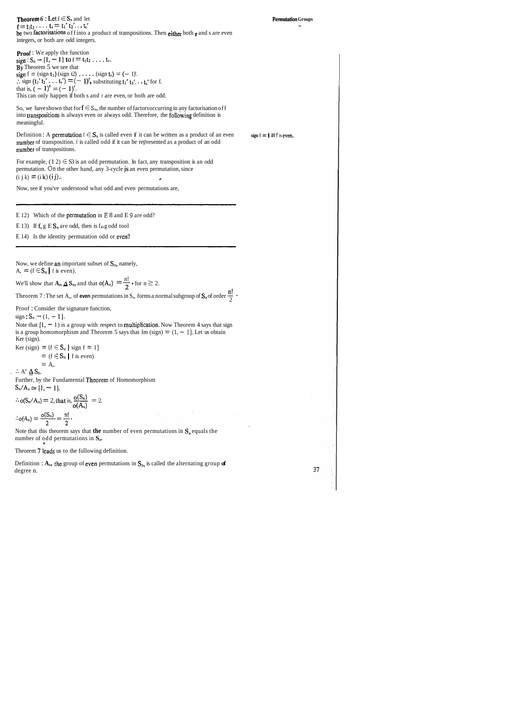| <b>Theorem 6 :</b> Let $f \in S_n$ and let                                                      |
|-------------------------------------------------------------------------------------------------|
| $f = t_1 t_2 \ldots t_r = t_1' t_2' \ldots t_s'$                                                |
| be two factorisations of finto a product of transpositions. Then either both $r$ and s are even |
| integers, or both are odd integers.                                                             |

37

So, we have shown that for  $f \in S_n$ , the number of factors occurring in any factorisation of f into transpositions is always even or always odd. Therefore, the following definition is meaningful.

Proof : We apply the function  $sien : S_n \to \{1, -1\}$  to  $f = t_1t_2 \ldots t_n$ . By Theorem 5 we see that sign  $f = (sign t_1) (sign t_2) \ldots$  . . . .  $(sign t_r) = (-1)$ . :. sign  $(t_1' t_2' \ldots t_s') = (-1)$ , substituting  $t_1' t_2' \ldots t_s'$  for f.<br>that is,  $(-1)^s = (-1)$ . This can only happen if both s and r are even, or both are odd.

Definition : A permutation  $f \in S_n$  is called even if it can be written as a product of an even  $\sin f = 1$  iff **f** is even. number of transposition. f is called odd if it can be represented as a product of an odd number of transpositions.

For example,  $(1\ 2) \in S3$  is an odd permutation. In fact, any transposition is an odd permutation. On the other hand, any 3-cycle **\*is** an even permutation, since  $(i \text{ j k}) = (i \text{ k}) (i \text{ j}).$ 

- E 13) If  $f, g \to S_n$  are odd, then is  $f \circ g$  odd tool
- E 14) Is the identity permutation odd or even?

Now, we define an important subset of  $S_n$ , namely,  $A_{n} = (f \in S_{n} \mid f \text{ is even}).$ 

We'll show that  $A_1$ ,  $\Delta S_n$ , and that  $o(A_n) = \frac{n!}{2}$ , for  $n \ge 2$ .

Theorem 7 : The set A,, of **even** permutations in S,, forms a normal subgroup of  $S_n$  of order  $\frac{n!}{2}$ .

Note that  $\{1, -1\}$  is a group with respect to **multiplication**. Now Theorem 4 says that sign is a group homomorphism and Theorem 5 says that Im (sign)  $= (1, -1)$ . Let us obtain Ker (sign).

Ker (sign) =  $\{f \in S_n \mid sign f = 1\}$  $=$  (f  $\in$  S<sub>n</sub> | f is even)

Further, by the Fundamental Theorem of Homomorphism  $S_n/A_n \simeq \{1, -1\}.$ 

= A,.<br>  $A'' \Delta S_n$ .<br>
Further, by the Fundamental Theorem<br>  $S_n/A_n \approx \{1, -1\}$ .<br>  $\therefore o(S_n/A_n) = 2$ , that is,  $\frac{o(S_n)}{o(A_n)} = 2$ .

Note that this theorem says that **the** number of even permutations in  $S_n$  equals the number of odd permutations in **S**<sub>2</sub>.

Theorem 7 leads us to the following definition.

Definition : A,, the group of even permutations in  $S_n$ , is called the alternating group **of** degree n.

Now, see if you've understood what odd and even permutations are,

E 12) Which of the **permutation** in **E** 8 and **E** 9 are odd?

Proof : Consider the signature function,

 $sign: S_n \rightarrow (1, -1).$ 

$$
\therefore A^{\prime\prime} \underline{\Delta} S_n.
$$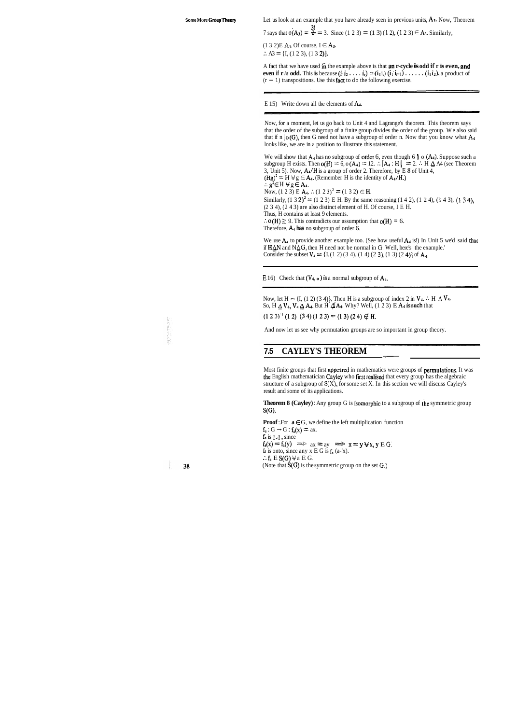**Some More Group Theory** Let us look at an example that you have already seen in previous units, A<sub>3</sub>. Now, Theorem Let us look at an example that you have already seen in previous units, A<sub>3</sub>. Now,  $\overline{7}$  says that  $\overline{o(A_3)} = \frac{3!}{2} = 3$ . Since (1 2 3) = (1 3) (1 2), (1 2 3)  $\in$  A<sub>3</sub>. Similarly,

 $\frac{3!}{2!}$ 

 $(1 3 2)$ E A<sub>3</sub>. Of course,  $I \in A_3$ .  $\therefore$  A3 = {I, (1 2 3), (1 3 2)}.

A fact that we have used in the example above is that an r-cycle is odd if r is even, and **even if r** *is* **odd.** This **is** because  $(i_1 i_2 \ldots i_r) = (i_1 i_1) (i_1 i_{r-1}) \ldots (i_1 i_2)$ , a product of  $(r - 1)$  transpositions. Use this fact to do the following exercise.

E 15) Write down all the elements of  $A_4$ .

Now, for a moment, let us go back to Unit 4 and Lagrange's theorem. This theorem says that the order of the subgroup of a finite group divides the order of the group. We also said that if n  $|o(G)$ , then G need not have a subgroup of order n. Now that you know what A<sub>4</sub> looks like, we are in a position to illustrate this statement.

We will show that  $A_4$  has no subgroup of **order** 6, even though 6 |  $\circ$  (A<sub>4</sub>). Suppose such a subgroup H exists. Then  $o(H) = 6$ ,  $o(A_4) = 12$ .  $\therefore |A_4 : H| = 2$ .  $\therefore$  H  $\triangleq$  A4 (see Theorem 3, Unit 5). Now, A4/H is a group of order 2. Therefore, by **E 8** of Unit 4,  $(Hg)^2 = H \vee g \in A_4$ . (Remember H is the identity of  $A_4/H$ .) :.  $g^2 \in H \forall g \in A_4$ . Now, (1 2 3) E  $A_4$ . :. (1 2 3)<sup>2</sup> = (1 3 2)  $\in$  H. Similarly,  $(1 \ 3 \ 2)^2 = (1 \ 2 \ 3)$  E H. By the same reasoning  $(1 \ 4 \ 2)$ ,  $(1 \ 2 \ 4)$ ,  $(1 \ 4 \ 3)$ ,  $(1 \ 3 \ 4)$ , (2 3 4), (2 4 3) are also distinct element of H. Of course, I E H. Thus, H contains at least 9 elements.  $\therefore$  **o(H)**  $\geq$  9. This contradicts our assumption that **o(H)** = 6. Therefore, A4 **has** no subgroup of order 6.

We use  $A_4$  to provide another example too. (See how useful  $A_4$  is!) In Unit 5 we'd said that if H&N and NAG, then H need not be normal in *6.* Well, here's the example.' Consider the subset  $V_4 = \{I, (1 \ 2) (3 \ 4), (1 \ 4) (2 \ 3), (1 \ 3) (2 \ 4)\}\$  of A<sub>4</sub>.

**E** 16) Check that  $(V_4, o)$  is a normal subgroup of  $A_4$ .

Now, let  $H = \{I, (1\ 2)\ (3\ 4)\}\$ . Then H is a subgroup of index 2 in  $V_4$ .  $\therefore$  H A  $V_4$ . So, H  $\Delta$  V<sub>4</sub>, V<sub>4</sub>  $\Delta$  A<sub>4</sub>. But H  $\Delta'$ A<sub>4</sub>. Why? Well, (1 2 3) E A<sub>4</sub> is such that

Most finite groups that first appeared in mathematics were groups of permutations. It was the English mathematician Cayley who first realised that every group has the algebraic structure of a subgroup of **S(X),** for some set X. In this section we will discuss Cayley's result and some of its applications.

**Theorem 8 (Cayley):** Any group G is isomorphic to a subgroup of the symmetric group  $S(G)$ .

**Proof**: For  $a \in G$ , we define the left multiplication function  $f_a: G \rightarrow G: f_a(x) = ax.$ fa is **1-1** , since  $f_a(x) = f_a(y) \implies ax = ay \implies x = y \forall x, y \in G.$ fa is onto, since any  $x \to G$  is  $f_a$  (a-'x). :.  $f_a \to S(G)$   $\forall a \to G$ . (Note that S(G) is the symmetric group on the set **0.)** 

And now let us see why permutation groups are so important in group theory.

# And now let us see why permutation groups are so importa<br> **7.5 CAYLEY'S THEOREM**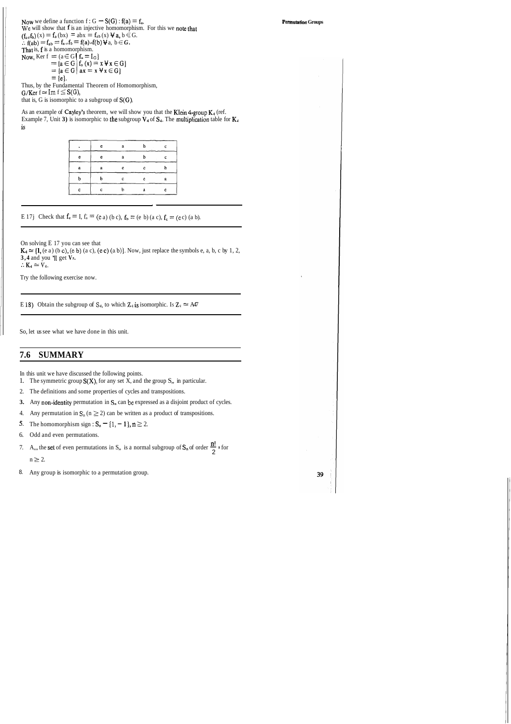As an example of Cayley's theorem, we will show you that the Klein 4-group  $K_4$  (ref. Example 7, Unit 3) is isomorphic to the subgroup  $V_4$  of  $S_4$ . The multiplication table for  $K_4$ is

|   | e | a  | h | c |
|---|---|----|---|---|
| e | e | ũ  | h |   |
| a | a | e  | c |   |
| b | b | Č. | e | a |
| c | c |    | а | e |

E 17j Check that  $f_e = I$ ,  $f_a = (e \ a)$  (b c),  $f_b = (e \ b)$  (a c),  $f_e = (e \ c)$  (a b).

Now we define a function  $f: G \rightarrow S(G)$ :  $f(a) = f_a$ . **We** will show that f is an injective homomorphism. For this we note that  $(f_{a\circ}f_{b})(x) = f_{a}(bx) = abx = f_{ab}(x) \forall a, b \in G.$  $\therefore$  f(ab) = f<sub>ab</sub> = f<sub>a</sub>,f<sub>b</sub> = f(a) of(b)  $\forall$  a, b  $\in$  *G*. That is,  $f$  is a homomorphism. Now, Ker  $f = (a \in G \mid f_a = I_G)$ <br>=  ${a \in G \mid f_a(x) = x \forall x \in G}$  $=$ {a $\in$  G} ax = x  $\forall$  x  $\in$  G}  $= \{e\}.$ Thus, by the Fundamental Theorem of Homomorphism,  $G/Ker f \simeq Im f \leq S(G)$ ,

that is, G is isomorphic to a subgroup of S(G).

On solving E 17 you can see that

 $K_4 \approx \{1, (e \ a) \ (b \ c), (e \ b) \ (a \ c), (e \ c) \ (a \ b)\}.$  Now, just replace the symbols e, a, b, c by 1, 2, **3,4** and you 'I1 get **VP.**   $: K_4 \simeq V_4.$ 

Try the following exercise now.

E 18) Obtain the subgroup of  $S_4$ , to which  $\mathbb{Z}_4$  is isomorphic. Is  $\mathbb{Z}_4 \approx AA7$ 

So, let us see what we have done in this unit.

**7.6 SUMMARY** 

In this unit we have discussed the following points.

1. The symmetric group  $S(X)$ , for any set X, and the group  $S$ ,, in particular.

- 2. The definitions and some properties of cycles and transpositions.
- **3.** Any non-identity permutation in  $S_n$  can be expressed as a disjoint product of cycles.
- 4. Any permutation in  $\mathbf{S}_n$  ( $n \ge 2$ ) can be written as a product of transpositions.
- **5.** The homomorphism sign :  $S_n = \{1, -1\}$ ,  $n \ge 2$ .
- 6. Odd and even permutations.
- 6. Odd and even permutations.<br>7. A,,, the set of even permutations in S,, is a normal subgroup of  $S_n$  of order  $\frac{n!}{2}$  if or  $n \geq 2$ .
- 8. Any group is isomorphic to a permutation group.

**Permutation Groups** 

39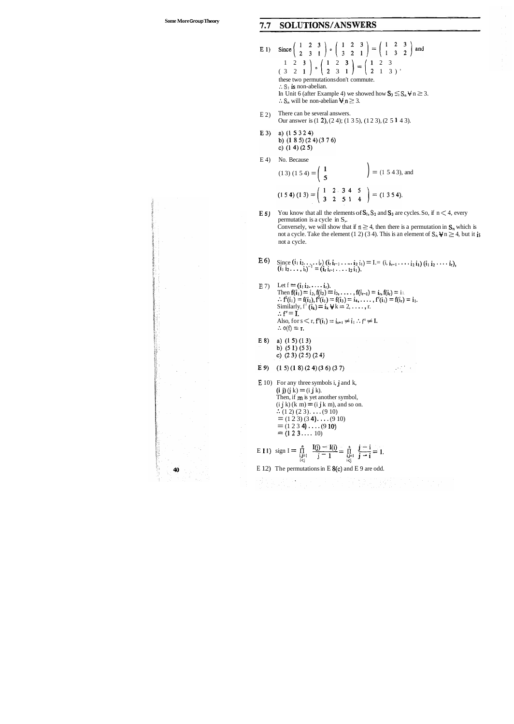40

### SOLUTIONS/ANSWERS  $7.7$

- $E_1$ )  $1\quad 2\quad 3$  |  $1\quad 2\quad 3$  |  $(1\quad 2\quad 3)$  $(3 \t2 \t1)^{\circ}$  (2 3 1) (2 1 3) these two permutations don't commute.  $\cdot$ . S<sub>3</sub> is non-abelian. In Unit 6 (after Example 4) we showed how  $S_3 \leq S_n \forall n \geq 3$ .  $\therefore$  S<sub>n</sub> will be non-abelian  $\forall n \geq 3$ .
- E 2) There can be several answers. Our answer is (1 2), (2 4); (1 3 5), (1 2 3), (2 5 1 4 3).
- E 3) a)  $(1 5 3 2 4)$ b)  $(1 8 5) (2 4) (3 7 6)$ c)  $(1 4) (2 5)$
- E 4) No. Because

**E5**) You know that all the elements of  $S_1$ ,  $S_2$  and  $S_3$  are cycles. So, if  $n < 4$ , every permutation is a cycle in S,. Conversely, we will show that if  $n \geq 4$ , then there is a permutation in  $S_n$  which is not a cycle. Take the element (1 2) (3 4). This is an element of  $S_n \Psi n \ge 4$ , but it is not a cycle.

- **E6**) Since  $(i_1 i_2, \ldots, i_r)$   $(i_r i_{r-1}, \ldots, i_2 i_1) = I = (i_1 i_{r-1}, \ldots, i_2 i_1) (i_1 i_2, \ldots, i_r)$ SINCE  $(1, 1/2, ..., 1)$  iii,  $i = (i_1 i_{r-1}, ..., i_2 i_1)$ .<br> $(i_1 i_2, ..., i_i)^{-1} = (i_r i_{r-1}, ..., i_2 i_1).$
- **E** 7) Let  $f = (i_1 i_2, \ldots, i_r)$ . Then  $f(i_1) = i_2, f(i_2) = i_3, \ldots, f(i_{r-1}) = i_r, f(i_r) = i_1$ .  $\therefore f^{2}(i_{1}) = f(i_{2}), f^{3}(i_{1}) = f(i_{3}) = i_{4}, \ldots, f^{r}(i_{1}) = f(i_{r}) = i_{1}.$ Similarly,  $f'(i_k) = i_k \forall k = 2, ..., r$ .  $\therefore f' = I.$ Also, for  $s \le r$ ,  $f^s(i_1) = i_{s+1} \ne i_1 : f^s \ne I$ .  $\therefore$  o(f) = r.
- E 8) a)  $(1 5) (1 3)$ b)  $(51)(53)$ c)  $(23)(25)(24)$
- E 9)  $(1\ 5)(1\ 8)(2\ 4)(3\ 6)(3\ 7)$
- **E** 10) For any three symbols i, **j** and k,  $(i j) (j k) = (i j k).$ Then, if **m** is yet another symbol,  $(i j k)$   $(k m) = (i j k m)$ , and so on.  $\therefore$  (1 2) (2 3).  $\dots$  (9 10)  $= (1 2 3) (3 4) \dots (9 10)$  $=$  (1 2 3 **4)**  $\ldots$  (9 **10**)  $=$  (1 2 3 . . . . 10)

No. Because  
\n
$$
(1\ 3) (1\ 5\ 4) = \begin{pmatrix} 1 \\ 5 \end{pmatrix}
$$
 =  $(1\ 5\ 4\ 3)$ , and  
\n $(1\ 5\ 4) (1\ 3) = \begin{pmatrix} 1 & 2 & 3 & 4 & 5 \\ 3 & 2 & 5 & 1 & 4 \end{pmatrix}$  =  $(1\ 3\ 5\ 4)$ .

E I1) sign I = 
$$
\prod_{\substack{i,j=1 \ i
$$

E 12) The permutations in E 8(c) and E 9 are odd.